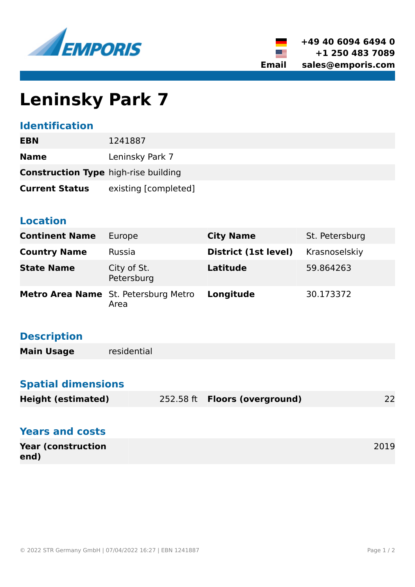



# **Leninsky Park 7**

### **Identification**

| <b>EBN</b>                                  | 1241887              |
|---------------------------------------------|----------------------|
| <b>Name</b>                                 | Leninsky Park 7      |
| <b>Construction Type</b> high-rise building |                      |
| <b>Current Status</b>                       | existing [completed] |

#### **Location**

| <b>Continent Name</b> | Europe                                       | <b>City Name</b>     | St. Petersburg |
|-----------------------|----------------------------------------------|----------------------|----------------|
| <b>Country Name</b>   | Russia                                       | District (1st level) | Krasnoselskiy  |
| <b>State Name</b>     | City of St.<br>Petersburg                    | Latitude             | 59.864263      |
|                       | Metro Area Name St. Petersburg Metro<br>Area | Longitude            | 30.173372      |

## **Description**

| <b>Main Usage</b> | residential |
|-------------------|-------------|
|-------------------|-------------|

# **Spatial dimensions**

| <b>Height (estimated)</b> | 252.58 ft <b>Floors (overground)</b> | 22 |
|---------------------------|--------------------------------------|----|

| <b>Years and costs</b>            |      |
|-----------------------------------|------|
| <b>Year (construction</b><br>end) | 2019 |